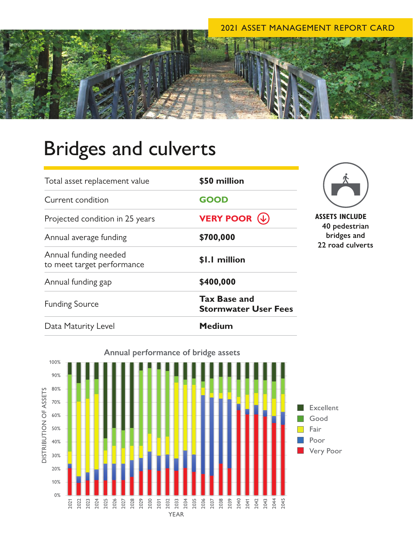## 2021 ASSET MANAGEMENT REPORT CARD

## Bridges and culverts

| Total asset replacement value                       | \$50 million                                       |
|-----------------------------------------------------|----------------------------------------------------|
| Current condition                                   | <b>GOOD</b>                                        |
| Projected condition in 25 years                     | <b>VERY POOR <math>(\downarrow)</math></b>         |
| Annual average funding                              | \$700,000                                          |
| Annual funding needed<br>to meet target performance | \$1.1 million                                      |
| Annual funding gap                                  | \$400,000                                          |
| <b>Funding Source</b>                               | <b>Tax Base and</b><br><b>Stormwater User Fees</b> |
| Data Maturity Level                                 | <b>Medium</b>                                      |



**ASSETS INCLUDE 40 pedestrian bridges and 22 road culverts**